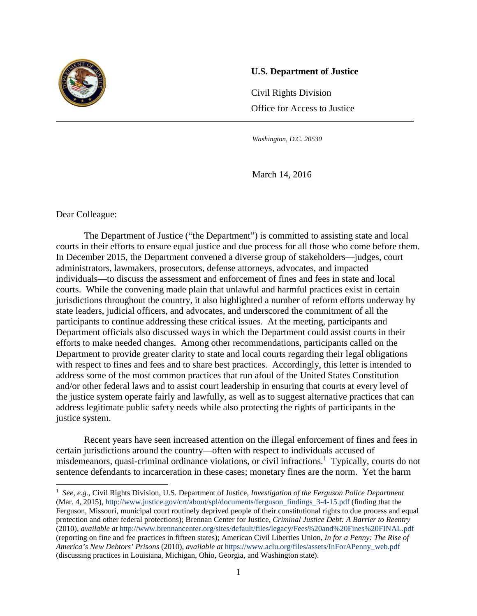

#### **U.S. Department of Justice**

Civil Rights Division Office for Access to Justice

*Washington, D.C. 20530*

j

March 14, 2016

Dear Colleague:

l

The Department of Justice ("the Department") is committed to assisting state and local courts in their efforts to ensure equal justice and due process for all those who come before them. In December 2015, the Department convened a diverse group of stakeholders—judges, court administrators, lawmakers, prosecutors, defense attorneys, advocates, and impacted individuals—to discuss the assessment and enforcement of fines and fees in state and local courts. While the convening made plain that unlawful and harmful practices exist in certain jurisdictions throughout the country, it also highlighted a number of reform efforts underway by state leaders, judicial officers, and advocates, and underscored the commitment of all the participants to continue addressing these critical issues. At the meeting, participants and Department officials also discussed ways in which the Department could assist courts in their efforts to make needed changes. Among other recommendations, participants called on the Department to provide greater clarity to state and local courts regarding their legal obligations with respect to fines and fees and to share best practices. Accordingly, this letter is intended to address some of the most common practices that run afoul of the United States Constitution and/or other federal laws and to assist court leadership in ensuring that courts at every level of the justice system operate fairly and lawfully, as well as to suggest alternative practices that can address legitimate public safety needs while also protecting the rights of participants in the justice system.

Recent years have seen increased attention on the illegal enforcement of fines and fees in certain jurisdictions around the country—often with respect to individuals accused of misdemeanors, quasi-criminal ordinance violations, or civil infractions.<sup>1</sup> Typically, courts do not sentence defendants to incarceration in these cases; monetary fines are the norm. Yet the harm

<sup>1</sup> *See, e.g.*, Civil Rights Division, U.S. Department of Justice, *Investigation of the Ferguson Police Department* (Mar. 4, 2015), http://www.justice.gov/crt/about/spl/documents/ferguson\_findings\_3-4-15.pdf (finding that the Ferguson, Missouri, municipal court routinely deprived people of their constitutional rights to due process and equal protection and other federal protections); Brennan Center for Justice, *Criminal Justice Debt: A Barrier to Reentry* (2010), *available at* http://www.brennancenter.org/sites/default/files/legacy/Fees%20and%20Fines%20FINAL.pdf (reporting on fine and fee practices in fifteen states); American Civil Liberties Union, *In for a Penny: The Rise of America's New Debtors' Prisons* (2010), *available at* https://www.aclu.org/files/assets/InForAPenny\_web.pdf (discussing practices in Louisiana, Michigan, Ohio, Georgia, and Washington state).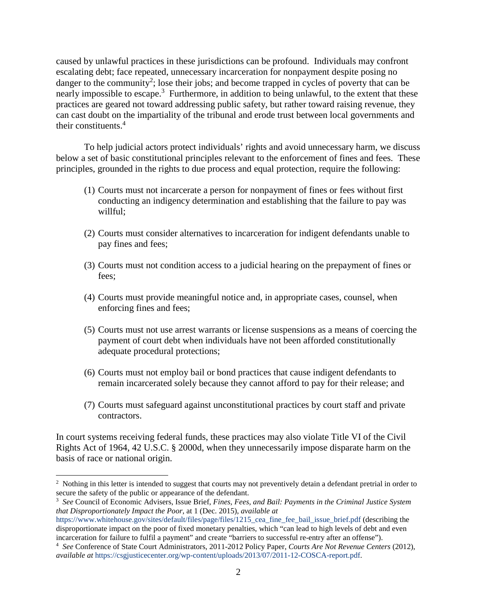caused by unlawful practices in these jurisdictions can be profound. Individuals may confront escalating debt; face repeated, unnecessary incarceration for nonpayment despite posing no danger to the community<sup>2</sup>; lose their jobs; and become trapped in cycles of poverty that can be nearly impossible to escape.<sup>3</sup> Furthermore, in addition to being unlawful, to the extent that these practices are geared not toward addressing public safety, but rather toward raising revenue, they can cast doubt on the impartiality of the tribunal and erode trust between local governments and their constituents.<sup>4</sup>

To help judicial actors protect individuals' rights and avoid unnecessary harm, we discuss below a set of basic constitutional principles relevant to the enforcement of fines and fees. These principles, grounded in the rights to due process and equal protection, require the following:

- (1) Courts must not incarcerate a person for nonpayment of fines or fees without first conducting an indigency determination and establishing that the failure to pay was willful;
- (2) Courts must consider alternatives to incarceration for indigent defendants unable to pay fines and fees;
- (3) Courts must not condition access to a judicial hearing on the prepayment of fines or fees;
- (4) Courts must provide meaningful notice and, in appropriate cases, counsel, when enforcing fines and fees;
- (5) Courts must not use arrest warrants or license suspensions as a means of coercing the payment of court debt when individuals have not been afforded constitutionally adequate procedural protections;
- (6) Courts must not employ bail or bond practices that cause indigent defendants to remain incarcerated solely because they cannot afford to pay for their release; and
- (7) Courts must safeguard against unconstitutional practices by court staff and private contractors.

In court systems receiving federal funds, these practices may also violate Title VI of the Civil Rights Act of 1964, 42 U.S.C. § 2000d, when they unnecessarily impose disparate harm on the basis of race or national origin.

 $\overline{\phantom{a}}$ 

 $2$  Nothing in this letter is intended to suggest that courts may not preventively detain a defendant pretrial in order to secure the safety of the public or appearance of the defendant.

*See* Council of Economic Advisers, Issue Brief, *Fines, Fees, and Bail: Payments in the Criminal Justice System that Disproportionately Impact the Poor*, at 1 (Dec. 2015), *available at*

https://www.whitehouse.gov/sites/default/files/page/files/1215\_cea\_fine\_fee\_bail\_issue\_brief.pdf (describing the disproportionate impact on the poor of fixed monetary penalties, which "can lead to high levels of debt and even incarceration for failure to fulfil a payment" and create "barriers to successful re-entry after an offense").

<sup>4</sup> *See* Conference of State Court Administrators, 2011-2012 Policy Paper, *Courts Are Not Revenue Centers* (2012), *available at* [https://csgjusticecenter.org/wp-content/uploads/2013/07/2011-12-COSCA-report.pdf.](https://csgjusticecenter.org/wp-content/uploads/2013/07/2011-12-COSCA-report.pdf)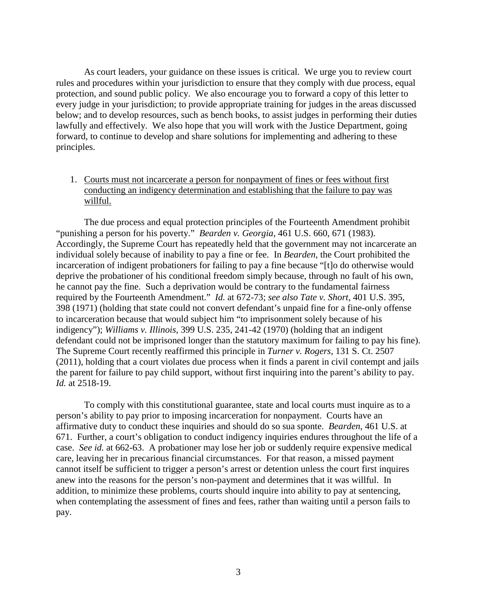As court leaders, your guidance on these issues is critical. We urge you to review court rules and procedures within your jurisdiction to ensure that they comply with due process, equal protection, and sound public policy. We also encourage you to forward a copy of this letter to every judge in your jurisdiction; to provide appropriate training for judges in the areas discussed below; and to develop resources, such as bench books, to assist judges in performing their duties lawfully and effectively. We also hope that you will work with the Justice Department, going forward, to continue to develop and share solutions for implementing and adhering to these principles.

# 1. Courts must not incarcerate a person for nonpayment of fines or fees without first conducting an indigency determination and establishing that the failure to pay was willful.

The due process and equal protection principles of the Fourteenth Amendment prohibit "punishing a person for his poverty." *Bearden v. Georgia*, 461 U.S. 660, 671 (1983). Accordingly, the Supreme Court has repeatedly held that the government may not incarcerate an individual solely because of inability to pay a fine or fee. In *Bearden*, the Court prohibited the incarceration of indigent probationers for failing to pay a fine because "[t]o do otherwise would deprive the probationer of his conditional freedom simply because, through no fault of his own, he cannot pay the fine. Such a deprivation would be contrary to the fundamental fairness required by the Fourteenth Amendment." *Id.* at 672-73; *see also Tate v. Short*, 401 U.S. 395, 398 (1971) (holding that state could not convert defendant's unpaid fine for a fine-only offense to incarceration because that would subject him "to imprisonment solely because of his indigency"); *Williams v. Illinois*, 399 U.S. 235, 241-42 (1970) (holding that an indigent defendant could not be imprisoned longer than the statutory maximum for failing to pay his fine). The Supreme Court recently reaffirmed this principle in *Turner v. Rogers*, 131 S. Ct. 2507 (2011), holding that a court violates due process when it finds a parent in civil contempt and jails the parent for failure to pay child support, without first inquiring into the parent's ability to pay. *Id.* at 2518-19.

To comply with this constitutional guarantee, state and local courts must inquire as to a person's ability to pay prior to imposing incarceration for nonpayment. Courts have an affirmative duty to conduct these inquiries and should do so sua sponte. *Bearden*, 461 U.S. at 671. Further, a court's obligation to conduct indigency inquiries endures throughout the life of a case. *See id.* at 662-63. A probationer may lose her job or suddenly require expensive medical care, leaving her in precarious financial circumstances. For that reason, a missed payment cannot itself be sufficient to trigger a person's arrest or detention unless the court first inquires anew into the reasons for the person's non-payment and determines that it was willful. In addition, to minimize these problems, courts should inquire into ability to pay at sentencing, when contemplating the assessment of fines and fees, rather than waiting until a person fails to pay.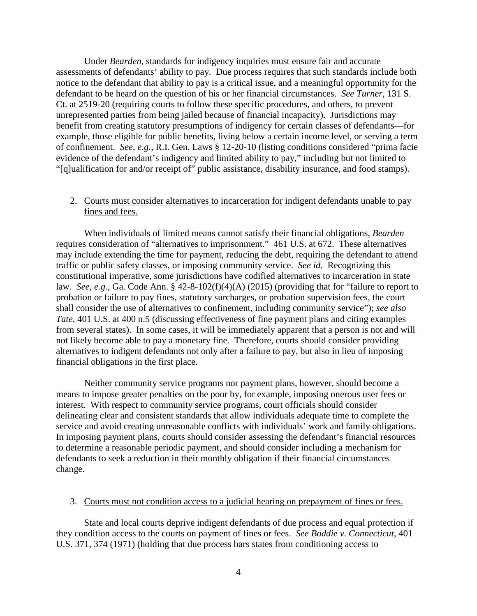Under *Bearden*, standards for indigency inquiries must ensure fair and accurate assessments of defendants' ability to pay. Due process requires that such standards include both notice to the defendant that ability to pay is a critical issue, and a meaningful opportunity for the defendant to be heard on the question of his or her financial circumstances. *See Turner*, 131 S. Ct. at 2519-20 (requiring courts to follow these specific procedures, and others, to prevent unrepresented parties from being jailed because of financial incapacity). Jurisdictions may benefit from creating statutory presumptions of indigency for certain classes of defendants—for example, those eligible for public benefits, living below a certain income level, or serving a term of confinement. *See, e.g.*, R.I. Gen. Laws § 12-20-10 (listing conditions considered "prima facie evidence of the defendant's indigency and limited ability to pay," including but not limited to "[q]ualification for and/or receipt of" public assistance, disability insurance, and food stamps).

## 2. Courts must consider alternatives to incarceration for indigent defendants unable to pay fines and fees.

When individuals of limited means cannot satisfy their financial obligations, *Bearden*  requires consideration of "alternatives to imprisonment." 461 U.S. at 672. These alternatives may include extending the time for payment, reducing the debt, requiring the defendant to attend traffic or public safety classes, or imposing community service. *See id.* Recognizing this constitutional imperative, some jurisdictions have codified alternatives to incarceration in state law. *See, e.g.*, Ga. Code Ann. § 42-8-102(f)(4)(A) (2015) (providing that for "failure to report to probation or failure to pay fines, statutory surcharges, or probation supervision fees, the court shall consider the use of alternatives to confinement, including community service"); *see also Tate*, 401 U.S. at 400 n.5 (discussing effectiveness of fine payment plans and citing examples from several states). In some cases, it will be immediately apparent that a person is not and will not likely become able to pay a monetary fine. Therefore, courts should consider providing alternatives to indigent defendants not only after a failure to pay, but also in lieu of imposing financial obligations in the first place.

Neither community service programs nor payment plans, however, should become a means to impose greater penalties on the poor by, for example, imposing onerous user fees or interest. With respect to community service programs, court officials should consider delineating clear and consistent standards that allow individuals adequate time to complete the service and avoid creating unreasonable conflicts with individuals' work and family obligations. In imposing payment plans, courts should consider assessing the defendant's financial resources to determine a reasonable periodic payment, and should consider including a mechanism for defendants to seek a reduction in their monthly obligation if their financial circumstances change.

#### 3. Courts must not condition access to a judicial hearing on prepayment of fines or fees.

State and local courts deprive indigent defendants of due process and equal protection if they condition access to the courts on payment of fines or fees. *See Boddie v. Connecticut*, 401 U.S. 371, 374 (1971) (holding that due process bars states from conditioning access to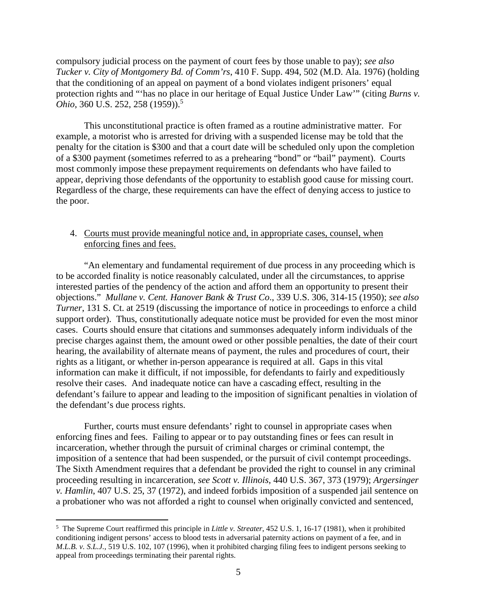compulsory judicial process on the payment of court fees by those unable to pay); *see also Tucker v. City of Montgomery Bd. of Comm'rs*, 410 F. Supp. 494, 502 (M.D. Ala. 1976) (holding that the conditioning of an appeal on payment of a bond violates indigent prisoners' equal protection rights and "'has no place in our heritage of Equal Justice Under Law'" (citing *Burns v. Ohio*, 360 U.S. 252, 258 (1959)). 5

This unconstitutional practice is often framed as a routine administrative matter. For example, a motorist who is arrested for driving with a suspended license may be told that the penalty for the citation is \$300 and that a court date will be scheduled only upon the completion of a \$300 payment (sometimes referred to as a prehearing "bond" or "bail" payment). Courts most commonly impose these prepayment requirements on defendants who have failed to appear, depriving those defendants of the opportunity to establish good cause for missing court. Regardless of the charge, these requirements can have the effect of denying access to justice to the poor.

## 4. Courts must provide meaningful notice and, in appropriate cases, counsel, when enforcing fines and fees.

"An elementary and fundamental requirement of due process in any proceeding which is to be accorded finality is notice reasonably calculated, under all the circumstances, to apprise interested parties of the pendency of the action and afford them an opportunity to present their objections." *Mullane v. Cent. Hanover Bank & Trust Co*., 339 U.S. 306, 314-15 (1950); *see also Turner*, 131 S. Ct. at 2519 (discussing the importance of notice in proceedings to enforce a child support order). Thus, constitutionally adequate notice must be provided for even the most minor cases. Courts should ensure that citations and summonses adequately inform individuals of the precise charges against them, the amount owed or other possible penalties, the date of their court hearing, the availability of alternate means of payment, the rules and procedures of court, their rights as a litigant, or whether in-person appearance is required at all. Gaps in this vital information can make it difficult, if not impossible, for defendants to fairly and expeditiously resolve their cases. And inadequate notice can have a cascading effect, resulting in the defendant's failure to appear and leading to the imposition of significant penalties in violation of the defendant's due process rights.

Further, courts must ensure defendants' right to counsel in appropriate cases when enforcing fines and fees. Failing to appear or to pay outstanding fines or fees can result in incarceration, whether through the pursuit of criminal charges or criminal contempt, the imposition of a sentence that had been suspended, or the pursuit of civil contempt proceedings. The Sixth Amendment requires that a defendant be provided the right to counsel in any criminal proceeding resulting in incarceration, *see Scott v. Illinois*, 440 U.S. 367, 373 (1979); *Argersinger v. Hamlin*, 407 U.S. 25, 37 (1972), and indeed forbids imposition of a suspended jail sentence on a probationer who was not afforded a right to counsel when originally convicted and sentenced,

 $\overline{a}$ 

<sup>5</sup> The Supreme Court reaffirmed this principle in *Little v. Streater*, 452 U.S. 1, 16-17 (1981), when it prohibited conditioning indigent persons' access to blood tests in adversarial paternity actions on payment of a fee, and in *M.L.B. v. S.L.J.*, 519 U.S. 102, 107 (1996), when it prohibited charging filing fees to indigent persons seeking to appeal from proceedings terminating their parental rights.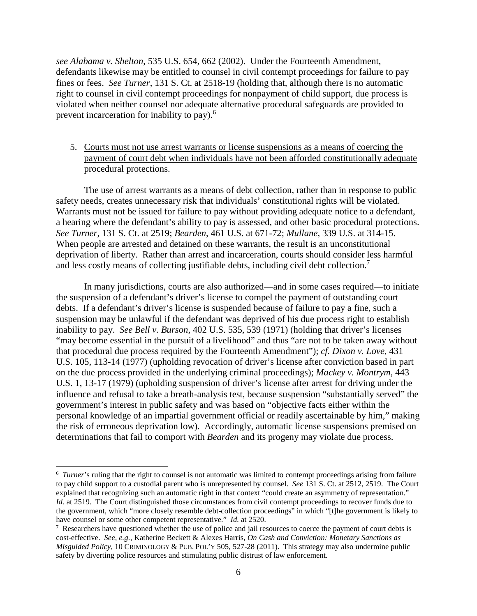*see Alabama v. Shelton*, 535 U.S. 654, 662 (2002). Under the Fourteenth Amendment, defendants likewise may be entitled to counsel in civil contempt proceedings for failure to pay fines or fees. *See Turner*, 131 S. Ct. at 2518-19 (holding that, although there is no automatic right to counsel in civil contempt proceedings for nonpayment of child support, due process is violated when neither counsel nor adequate alternative procedural safeguards are provided to prevent incarceration for inability to pay).<sup>6</sup>

## 5. Courts must not use arrest warrants or license suspensions as a means of coercing the payment of court debt when individuals have not been afforded constitutionally adequate procedural protections.

The use of arrest warrants as a means of debt collection, rather than in response to public safety needs, creates unnecessary risk that individuals' constitutional rights will be violated. Warrants must not be issued for failure to pay without providing adequate notice to a defendant, a hearing where the defendant's ability to pay is assessed, and other basic procedural protections. *See Turner*, 131 S. Ct. at 2519; *Bearden*, 461 U.S. at 671-72; *Mullane*, 339 U.S. at 314-15. When people are arrested and detained on these warrants, the result is an unconstitutional deprivation of liberty. Rather than arrest and incarceration, courts should consider less harmful and less costly means of collecting justifiable debts, including civil debt collection.<sup>7</sup>

In many jurisdictions, courts are also authorized—and in some cases required—to initiate the suspension of a defendant's driver's license to compel the payment of outstanding court debts. If a defendant's driver's license is suspended because of failure to pay a fine, such a suspension may be unlawful if the defendant was deprived of his due process right to establish inability to pay. *See Bell v. Burson*, 402 U.S. 535, 539 (1971) (holding that driver's licenses "may become essential in the pursuit of a livelihood" and thus "are not to be taken away without that procedural due process required by the Fourteenth Amendment"); *cf. Dixon v. Love*, 431 U.S. 105, 113-14 (1977) (upholding revocation of driver's license after conviction based in part on the due process provided in the underlying criminal proceedings); *Mackey v. Montrym*, 443 U.S. 1, 13-17 (1979) (upholding suspension of driver's license after arrest for driving under the influence and refusal to take a breath-analysis test, because suspension "substantially served" the government's interest in public safety and was based on "objective facts either within the personal knowledge of an impartial government official or readily ascertainable by him," making the risk of erroneous deprivation low). Accordingly, automatic license suspensions premised on determinations that fail to comport with *Bearden* and its progeny may violate due process.

 $\overline{a}$ 

<sup>&</sup>lt;sup>6</sup> Turner's ruling that the right to counsel is not automatic was limited to contempt proceedings arising from failure to pay child support to a custodial parent who is unrepresented by counsel. *See* 131 S. Ct. at 2512, 2519. The Court explained that recognizing such an automatic right in that context "could create an asymmetry of representation." *Id.* at 2519. The Court distinguished those circumstances from civil contempt proceedings to recover funds due to the government, which "more closely resemble debt-collection proceedings" in which "[t]he government is likely to have counsel or some other competent representative." *Id.* at 2520.

<sup>&</sup>lt;sup>7</sup> Researchers have questioned whether the use of police and jail resources to coerce the payment of court debts is cost-effective. *See, e.g.*, Katherine Beckett & Alexes Harris, *On Cash and Conviction: Monetary Sanctions as Misguided Policy*, 10 CRIMINOLOGY & PUB. POL'Y 505, 527-28 (2011). This strategy may also undermine public safety by diverting police resources and stimulating public distrust of law enforcement.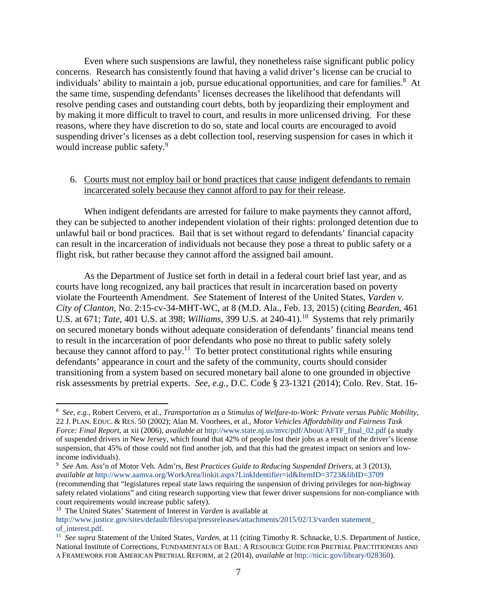Even where such suspensions are lawful, they nonetheless raise significant public policy concerns. Research has consistently found that having a valid driver's license can be crucial to individuals' ability to maintain a job, pursue educational opportunities, and care for families.<sup>8</sup> At the same time, suspending defendants' licenses decreases the likelihood that defendants will resolve pending cases and outstanding court debts, both by jeopardizing their employment and by making it more difficult to travel to court, and results in more unlicensed driving. For these reasons, where they have discretion to do so, state and local courts are encouraged to avoid suspending driver's licenses as a debt collection tool, reserving suspension for cases in which it would increase public safety.<sup>9</sup>

#### 6. Courts must not employ bail or bond practices that cause indigent defendants to remain incarcerated solely because they cannot afford to pay for their release.

When indigent defendants are arrested for failure to make payments they cannot afford, they can be subjected to another independent violation of their rights: prolonged detention due to unlawful bail or bond practices. Bail that is set without regard to defendants' financial capacity can result in the incarceration of individuals not because they pose a threat to public safety or a flight risk, but rather because they cannot afford the assigned bail amount.

As the Department of Justice set forth in detail in a federal court brief last year, and as courts have long recognized, any bail practices that result in incarceration based on poverty violate the Fourteenth Amendment. *See* Statement of Interest of the United States, *Varden v. City of Clanton*, No. 2:15-cv-34-MHT-WC, at 8 (M.D. Ala., Feb. 13, 2015) (citing *Bearden*, 461 U.S. at 671; *Tate*, 401 U.S. at 398; *Williams*, 399 U.S. at 240-41).<sup>10</sup> Systems that rely primarily on secured monetary bonds without adequate consideration of defendants' financial means tend to result in the incarceration of poor defendants who pose no threat to public safety solely because they cannot afford to pay.<sup>11</sup> To better protect constitutional rights while ensuring defendants' appearance in court and the safety of the community, courts should consider transitioning from a system based on secured monetary bail alone to one grounded in objective risk assessments by pretrial experts. *See, e.g.*, D.C. Code § 23-1321 (2014); Colo. Rev. Stat. 16-

l

<sup>8</sup> *See, e.g.*, Robert Cervero, et al., *Transportation as a Stimulus of Welfare-to-Work: Private versus Public Mobility*, 22 J. PLAN. EDUC. & RES. 50 (2002); Alan M. Voorhees, et al., *Motor Vehicles Affordability and Fairness Task Force: Final Report*, at xii (2006), *available at* http://www.state.nj.us/mvc/pdf/About/AFTF\_final\_02.pdf (a study of suspended drivers in New Jersey, which found that 42% of people lost their jobs as a result of the driver's license suspension, that 45% of those could not find another job, and that this had the greatest impact on seniors and lowincome individuals).

<sup>9</sup> *See* Am. Ass'n of Motor Veh. Adm'rs, *Best Practices Guide to Reducing Suspended Drivers*, at 3 (2013), *available at* http://www.aamva.org/WorkArea/linkit.aspx?LinkIdentifier=id&ItemID=3723&libID=3709 (recommending that "legislatures repeal state laws requiring the suspension of driving privileges for non-highway safety related violations" and citing research supporting view that fewer driver suspensions for non-compliance with court requirements would increase public safety).

<sup>&</sup>lt;sup>10</sup> The United States' Statement of Interest in *Varden* is available at

http://www.justice.gov/sites/default/files/opa/pressreleases/attachments/2015/02/13/varden statement\_ of\_interest.pdf. 11 *See supra* Statement of the United States, *Varden*, at 11 (citing Timothy R. Schnacke, U.S. Department of Justice,

National Institute of Corrections, FUNDAMENTALS OF BAIL: A RESOURCE GUIDE FOR PRETRIAL PRACTITIONERS AND A FRAMEWORK FOR AMERICAN PRETRIAL REFORM, at 2 (2014), *available at* http://nicic.gov/library/028360).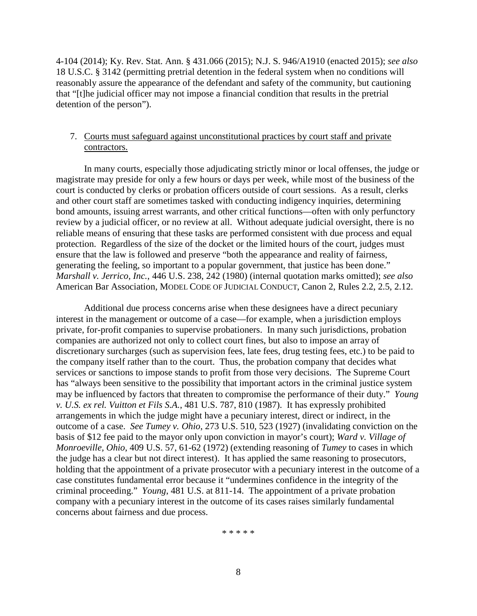4-104 (2014); Ky. Rev. Stat. Ann. § 431.066 (2015); N.J. S. 946/A1910 (enacted 2015); *see also* 18 U.S.C. § 3142 (permitting pretrial detention in the federal system when no conditions will reasonably assure the appearance of the defendant and safety of the community, but cautioning that "[t]he judicial officer may not impose a financial condition that results in the pretrial detention of the person").

# 7. Courts must safeguard against unconstitutional practices by court staff and private contractors.

In many courts, especially those adjudicating strictly minor or local offenses, the judge or magistrate may preside for only a few hours or days per week, while most of the business of the court is conducted by clerks or probation officers outside of court sessions. As a result, clerks and other court staff are sometimes tasked with conducting indigency inquiries, determining bond amounts, issuing arrest warrants, and other critical functions—often with only perfunctory review by a judicial officer, or no review at all. Without adequate judicial oversight, there is no reliable means of ensuring that these tasks are performed consistent with due process and equal protection. Regardless of the size of the docket or the limited hours of the court, judges must ensure that the law is followed and preserve "both the appearance and reality of fairness, generating the feeling, so important to a popular government, that justice has been done." *Marshall v. Jerrico, Inc.*, 446 U.S. 238, 242 (1980) (internal quotation marks omitted); *see also*  American Bar Association, MODEL CODE OF JUDICIAL CONDUCT, Canon 2, Rules 2.2, 2.5, 2.12.

Additional due process concerns arise when these designees have a direct pecuniary interest in the management or outcome of a case—for example, when a jurisdiction employs private, for-profit companies to supervise probationers. In many such jurisdictions, probation companies are authorized not only to collect court fines, but also to impose an array of discretionary surcharges (such as supervision fees, late fees, drug testing fees, etc.) to be paid to the company itself rather than to the court. Thus, the probation company that decides what services or sanctions to impose stands to profit from those very decisions. The Supreme Court has "always been sensitive to the possibility that important actors in the criminal justice system may be influenced by factors that threaten to compromise the performance of their duty." *Young v. U.S. ex rel. Vuitton et Fils S.A.*, 481 U.S. 787, 810 (1987). It has expressly prohibited arrangements in which the judge might have a pecuniary interest, direct or indirect, in the outcome of a case. *See Tumey v. Ohio*, 273 U.S. 510, 523 (1927) (invalidating conviction on the basis of \$12 fee paid to the mayor only upon conviction in mayor's court); *Ward v. Village of Monroeville, Ohio*, 409 U.S. 57, 61-62 (1972) (extending reasoning of *Tumey* to cases in which the judge has a clear but not direct interest). It has applied the same reasoning to prosecutors, holding that the appointment of a private prosecutor with a pecuniary interest in the outcome of a case constitutes fundamental error because it "undermines confidence in the integrity of the criminal proceeding." *Young*, 481 U.S. at 811-14. The appointment of a private probation company with a pecuniary interest in the outcome of its cases raises similarly fundamental concerns about fairness and due process.

\* \* \* \* \*